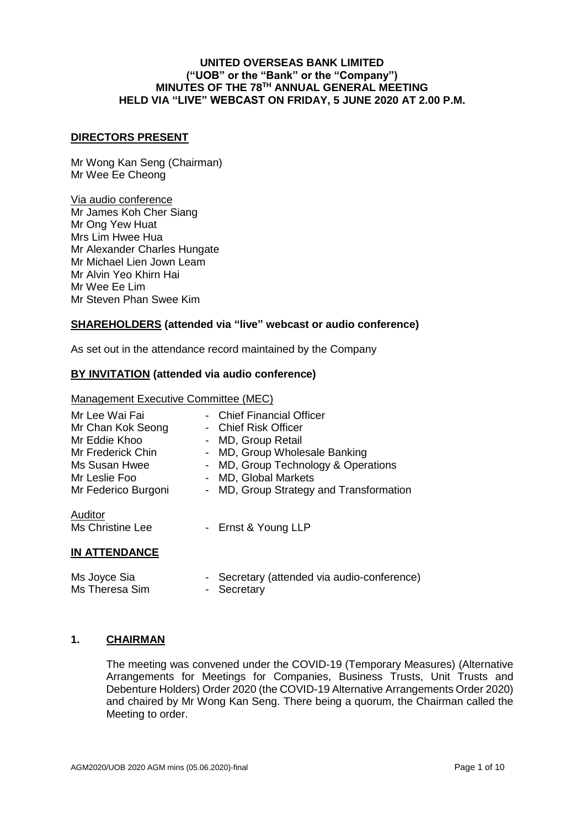#### **DIRECTORS PRESENT**

Mr Wong Kan Seng (Chairman) Mr Wee Ee Cheong

# Via audio conference

Mr James Koh Cher Siang Mr Ong Yew Huat Mrs Lim Hwee Hua Mr Alexander Charles Hungate Mr Michael Lien Jown Leam Mr Alvin Yeo Khirn Hai Mr Wee Ee Lim Mr Steven Phan Swee Kim

# **SHAREHOLDERS (attended via "live" webcast or audio conference)**

As set out in the attendance record maintained by the Company

# **BY INVITATION (attended via audio conference)**

#### Management Executive Committee (MEC)

| Mr Lee Wai Fai<br>Mr Chan Kok Seong<br>Mr Eddie Khoo<br>Mr Frederick Chin<br>Ms Susan Hwee<br>Mr Leslie Foo<br>Mr Federico Burgoni<br>Auditor<br>Ms Christine Lee | $\blacksquare$<br>$\sim$<br>$\sim$ | <b>Chief Financial Officer</b><br>Chief Risk Officer<br>MD, Group Retail<br>- MD, Group Wholesale Banking<br>- MD, Group Technology & Operations<br><b>MD, Global Markets</b><br>MD, Group Strategy and Transformation<br>- Ernst & Young LLP |
|-------------------------------------------------------------------------------------------------------------------------------------------------------------------|------------------------------------|-----------------------------------------------------------------------------------------------------------------------------------------------------------------------------------------------------------------------------------------------|
| <b>IN ATTENDANCE</b>                                                                                                                                              |                                    |                                                                                                                                                                                                                                               |
|                                                                                                                                                                   |                                    |                                                                                                                                                                                                                                               |

| Ms Joyce Sia   | - Secretary (attended via audio-conference) |
|----------------|---------------------------------------------|
| Ms Theresa Sim | - Secretary                                 |

#### **1. CHAIRMAN**

The meeting was convened under the COVID-19 (Temporary Measures) (Alternative Arrangements for Meetings for Companies, Business Trusts, Unit Trusts and Debenture Holders) Order 2020 (the COVID-19 Alternative Arrangements Order 2020) and chaired by Mr Wong Kan Seng. There being a quorum, the Chairman called the Meeting to order.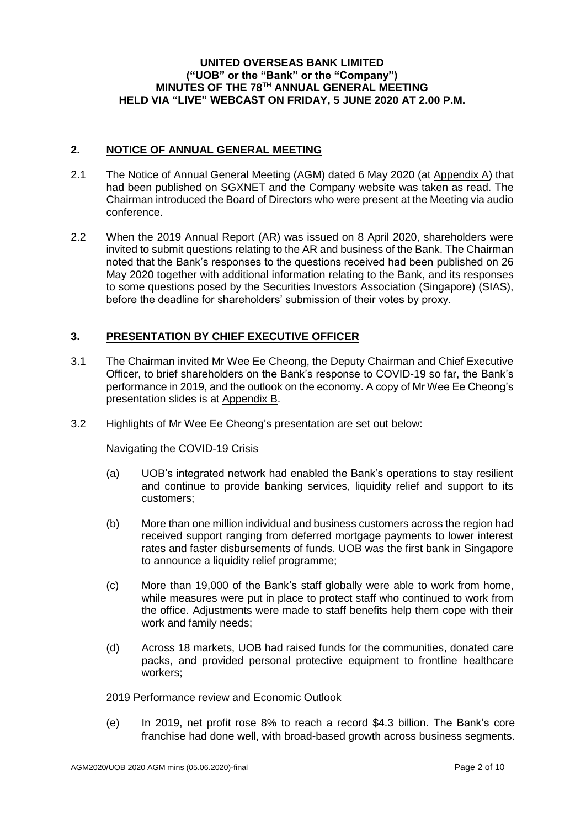### **2. NOTICE OF ANNUAL GENERAL MEETING**

- 2.1 The Notice of Annual General Meeting (AGM) dated 6 May 2020 (at Appendix A) that had been published on SGXNET and the Company website was taken as read. The Chairman introduced the Board of Directors who were present at the Meeting via audio conference.
- 2.2 When the 2019 Annual Report (AR) was issued on 8 April 2020, shareholders were invited to submit questions relating to the AR and business of the Bank. The Chairman noted that the Bank's responses to the questions received had been published on 26 May 2020 together with additional information relating to the Bank, and its responses to some questions posed by the Securities Investors Association (Singapore) (SIAS), before the deadline for shareholders' submission of their votes by proxy.

# **3. PRESENTATION BY CHIEF EXECUTIVE OFFICER**

- 3.1 The Chairman invited Mr Wee Ee Cheong, the Deputy Chairman and Chief Executive Officer, to brief shareholders on the Bank's response to COVID-19 so far, the Bank's performance in 2019, and the outlook on the economy. A copy of Mr Wee Ee Cheong's presentation slides is at Appendix B.
- 3.2 Highlights of Mr Wee Ee Cheong's presentation are set out below:

#### Navigating the COVID-19 Crisis

- (a) UOB's integrated network had enabled the Bank's operations to stay resilient and continue to provide banking services, liquidity relief and support to its customers;
- (b) More than one million individual and business customers across the region had received support ranging from deferred mortgage payments to lower interest rates and faster disbursements of funds. UOB was the first bank in Singapore to announce a liquidity relief programme;
- (c) More than 19,000 of the Bank's staff globally were able to work from home, while measures were put in place to protect staff who continued to work from the office. Adjustments were made to staff benefits help them cope with their work and family needs;
- (d) Across 18 markets, UOB had raised funds for the communities, donated care packs, and provided personal protective equipment to frontline healthcare workers;

#### 2019 Performance review and Economic Outlook

(e) In 2019, net profit rose 8% to reach a record \$4.3 billion. The Bank's core franchise had done well, with broad-based growth across business segments.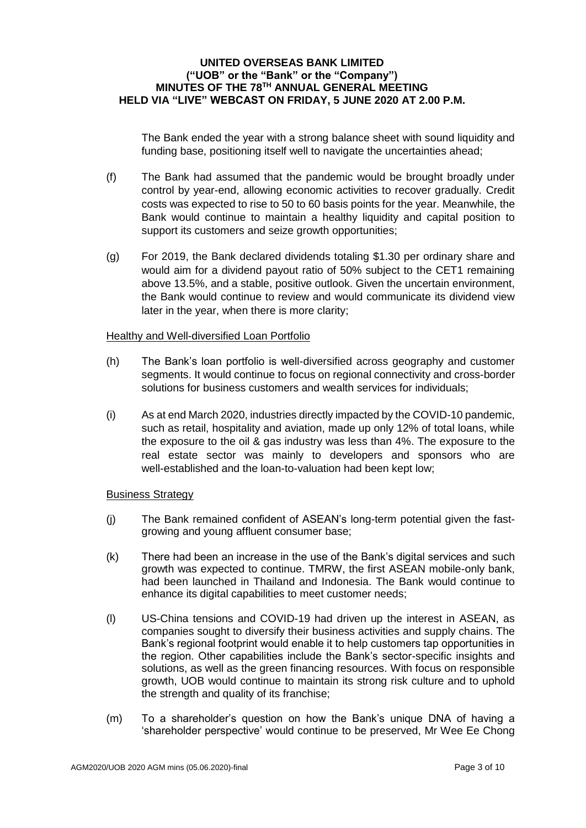The Bank ended the year with a strong balance sheet with sound liquidity and funding base, positioning itself well to navigate the uncertainties ahead;

- (f) The Bank had assumed that the pandemic would be brought broadly under control by year-end, allowing economic activities to recover gradually. Credit costs was expected to rise to 50 to 60 basis points for the year. Meanwhile, the Bank would continue to maintain a healthy liquidity and capital position to support its customers and seize growth opportunities;
- (g) For 2019, the Bank declared dividends totaling \$1.30 per ordinary share and would aim for a dividend payout ratio of 50% subject to the CET1 remaining above 13.5%, and a stable, positive outlook. Given the uncertain environment, the Bank would continue to review and would communicate its dividend view later in the year, when there is more clarity;

#### Healthy and Well-diversified Loan Portfolio

- (h) The Bank's loan portfolio is well-diversified across geography and customer segments. It would continue to focus on regional connectivity and cross-border solutions for business customers and wealth services for individuals;
- (i) As at end March 2020, industries directly impacted by the COVID-10 pandemic, such as retail, hospitality and aviation, made up only 12% of total loans, while the exposure to the oil & gas industry was less than 4%. The exposure to the real estate sector was mainly to developers and sponsors who are well-established and the loan-to-valuation had been kept low;

# Business Strategy

- (j) The Bank remained confident of ASEAN's long-term potential given the fastgrowing and young affluent consumer base;
- (k) There had been an increase in the use of the Bank's digital services and such growth was expected to continue. TMRW, the first ASEAN mobile-only bank, had been launched in Thailand and Indonesia. The Bank would continue to enhance its digital capabilities to meet customer needs;
- (l) US-China tensions and COVID-19 had driven up the interest in ASEAN, as companies sought to diversify their business activities and supply chains. The Bank's regional footprint would enable it to help customers tap opportunities in the region. Other capabilities include the Bank's sector-specific insights and solutions, as well as the green financing resources. With focus on responsible growth, UOB would continue to maintain its strong risk culture and to uphold the strength and quality of its franchise;
- (m) To a shareholder's question on how the Bank's unique DNA of having a 'shareholder perspective' would continue to be preserved, Mr Wee Ee Chong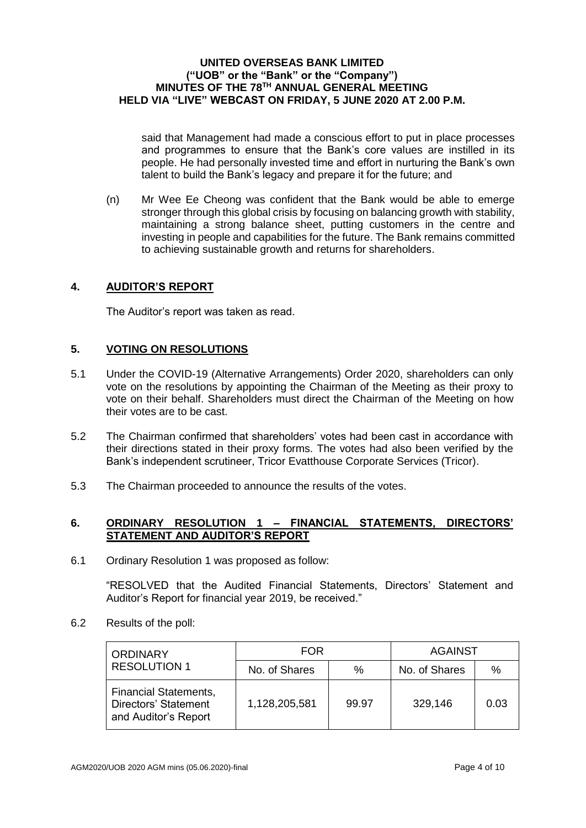said that Management had made a conscious effort to put in place processes and programmes to ensure that the Bank's core values are instilled in its people. He had personally invested time and effort in nurturing the Bank's own talent to build the Bank's legacy and prepare it for the future; and

(n) Mr Wee Ee Cheong was confident that the Bank would be able to emerge stronger through this global crisis by focusing on balancing growth with stability, maintaining a strong balance sheet, putting customers in the centre and investing in people and capabilities for the future. The Bank remains committed to achieving sustainable growth and returns for shareholders.

# **4. AUDITOR'S REPORT**

The Auditor's report was taken as read.

# **5. VOTING ON RESOLUTIONS**

- 5.1 Under the COVID-19 (Alternative Arrangements) Order 2020, shareholders can only vote on the resolutions by appointing the Chairman of the Meeting as their proxy to vote on their behalf. Shareholders must direct the Chairman of the Meeting on how their votes are to be cast.
- 5.2 The Chairman confirmed that shareholders' votes had been cast in accordance with their directions stated in their proxy forms. The votes had also been verified by the Bank's independent scrutineer, Tricor Evatthouse Corporate Services (Tricor).
- 5.3 The Chairman proceeded to announce the results of the votes.

### **6. ORDINARY RESOLUTION 1 – FINANCIAL STATEMENTS, DIRECTORS' STATEMENT AND AUDITOR'S REPORT**

6.1 Ordinary Resolution 1 was proposed as follow:

"RESOLVED that the Audited Financial Statements, Directors' Statement and Auditor's Report for financial year 2019, be received."

6.2 Results of the poll:

| <b>ORDINARY</b>                                                              | <b>FOR</b>    |       | <b>AGAINST</b> |      |
|------------------------------------------------------------------------------|---------------|-------|----------------|------|
| <b>RESOLUTION 1</b>                                                          | No. of Shares | %     | No. of Shares  | $\%$ |
| <b>Financial Statements,</b><br>Directors' Statement<br>and Auditor's Report | 1,128,205,581 | 99.97 | 329,146        | 0.03 |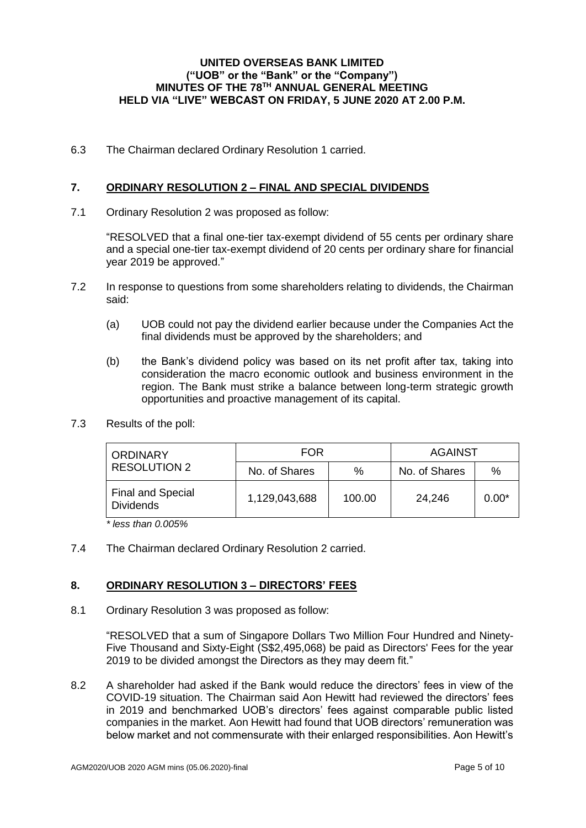6.3 The Chairman declared Ordinary Resolution 1 carried.

# **7. ORDINARY RESOLUTION 2 – FINAL AND SPECIAL DIVIDENDS**

7.1 Ordinary Resolution 2 was proposed as follow:

"RESOLVED that a final one-tier tax-exempt dividend of 55 cents per ordinary share and a special one-tier tax-exempt dividend of 20 cents per ordinary share for financial year 2019 be approved."

- 7.2 In response to questions from some shareholders relating to dividends, the Chairman said:
	- (a) UOB could not pay the dividend earlier because under the Companies Act the final dividends must be approved by the shareholders; and
	- (b) the Bank's dividend policy was based on its net profit after tax, taking into consideration the macro economic outlook and business environment in the region. The Bank must strike a balance between long-term strategic growth opportunities and proactive management of its capital.
- 7.3 Results of the poll:

| <b>ORDINARY</b>                              | FOR           |        | <b>AGAINST</b> |         |
|----------------------------------------------|---------------|--------|----------------|---------|
| <b>RESOLUTION 2</b>                          | No. of Shares | %      | No. of Shares  | %       |
| <b>Final and Special</b><br><b>Dividends</b> | 1,129,043,688 | 100.00 | 24,246         | $0.00*$ |

*\* less than 0.005%*

7.4 The Chairman declared Ordinary Resolution 2 carried.

# **8. ORDINARY RESOLUTION 3 – DIRECTORS' FEES**

8.1 Ordinary Resolution 3 was proposed as follow:

"RESOLVED that a sum of Singapore Dollars Two Million Four Hundred and Ninety-Five Thousand and Sixty-Eight (S\$2,495,068) be paid as Directors' Fees for the year 2019 to be divided amongst the Directors as they may deem fit."

8.2 A shareholder had asked if the Bank would reduce the directors' fees in view of the COVID-19 situation. The Chairman said Aon Hewitt had reviewed the directors' fees in 2019 and benchmarked UOB's directors' fees against comparable public listed companies in the market. Aon Hewitt had found that UOB directors' remuneration was below market and not commensurate with their enlarged responsibilities. Aon Hewitt's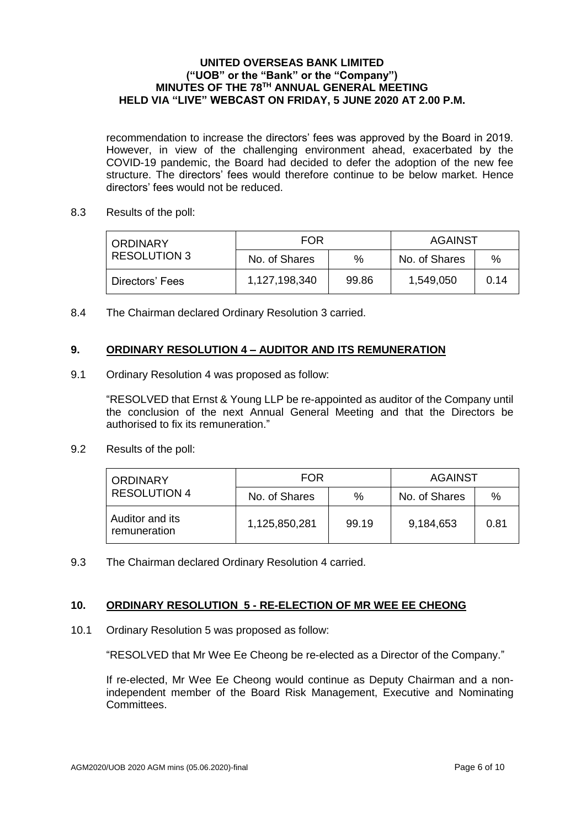recommendation to increase the directors' fees was approved by the Board in 2019. However, in view of the challenging environment ahead, exacerbated by the COVID-19 pandemic, the Board had decided to defer the adoption of the new fee structure. The directors' fees would therefore continue to be below market. Hence directors' fees would not be reduced.

8.3 Results of the poll:

| <b>ORDINARY</b> | <b>FOR</b>    |       | AGAINST       |      |
|-----------------|---------------|-------|---------------|------|
| RESOLUTION 3    | No. of Shares | $\%$  | No. of Shares | %    |
| Directors' Fees | 1,127,198,340 | 99.86 | 1,549,050     | 0.14 |

8.4 The Chairman declared Ordinary Resolution 3 carried.

# **9. ORDINARY RESOLUTION 4 – AUDITOR AND ITS REMUNERATION**

9.1 Ordinary Resolution 4 was proposed as follow:

"RESOLVED that Ernst & Young LLP be re-appointed as auditor of the Company until the conclusion of the next Annual General Meeting and that the Directors be authorised to fix its remuneration."

9.2 Results of the poll:

| <b>ORDINARY</b>                 | FOR           |       | AGAINST       |      |
|---------------------------------|---------------|-------|---------------|------|
| <b>RESOLUTION 4</b>             | No. of Shares | %     | No. of Shares | $\%$ |
| Auditor and its<br>remuneration | 1,125,850,281 | 99.19 | 9,184,653     | 0.81 |

9.3 The Chairman declared Ordinary Resolution 4 carried.

# **10. ORDINARY RESOLUTION 5 - RE-ELECTION OF MR WEE EE CHEONG**

10.1 Ordinary Resolution 5 was proposed as follow:

"RESOLVED that Mr Wee Ee Cheong be re-elected as a Director of the Company."

If re-elected, Mr Wee Ee Cheong would continue as Deputy Chairman and a nonindependent member of the Board Risk Management, Executive and Nominating Committees.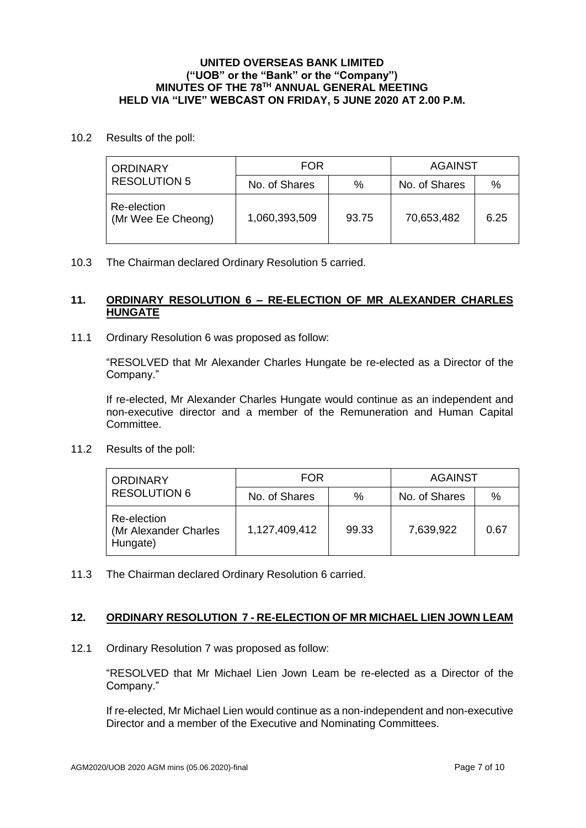10.2 Results of the poll:

| <b>ORDINARY</b>                   | FOR           |       | AGAINST       |      |
|-----------------------------------|---------------|-------|---------------|------|
| <b>RESOLUTION 5</b>               | No. of Shares | %     | No. of Shares | $\%$ |
| Re-election<br>(Mr Wee Ee Cheong) | 1,060,393,509 | 93.75 | 70,653,482    | 6.25 |

10.3 The Chairman declared Ordinary Resolution 5 carried.

# **11. ORDINARY RESOLUTION 6 – RE-ELECTION OF MR ALEXANDER CHARLES HUNGATE**

11.1 Ordinary Resolution 6 was proposed as follow:

"RESOLVED that Mr Alexander Charles Hungate be re-elected as a Director of the Company."

If re-elected, Mr Alexander Charles Hungate would continue as an independent and non-executive director and a member of the Remuneration and Human Capital Committee.

11.2 Results of the poll:

| <b>ORDINARY</b>                                  | <b>FOR</b>    |       | <b>AGAINST</b> |      |
|--------------------------------------------------|---------------|-------|----------------|------|
| <b>RESOLUTION 6</b>                              | No. of Shares | %     | No. of Shares  | $\%$ |
| Re-election<br>(Mr Alexander Charles<br>Hungate) | 1,127,409,412 | 99.33 | 7,639,922      | 0.67 |

11.3 The Chairman declared Ordinary Resolution 6 carried.

#### **12. ORDINARY RESOLUTION 7 - RE-ELECTION OF MR MICHAEL LIEN JOWN LEAM**

12.1 Ordinary Resolution 7 was proposed as follow:

"RESOLVED that Mr Michael Lien Jown Leam be re-elected as a Director of the Company."

If re-elected, Mr Michael Lien would continue as a non-independent and non-executive Director and a member of the Executive and Nominating Committees.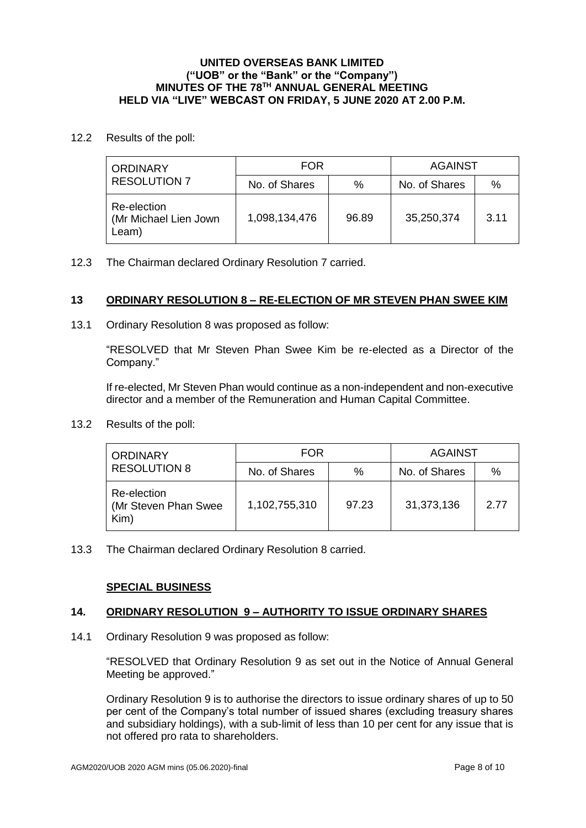12.2 Results of the poll:

| <b>ORDINARY</b>                                | <b>FOR</b>    |       | AGAINST       |      |
|------------------------------------------------|---------------|-------|---------------|------|
| <b>RESOLUTION 7</b>                            | No. of Shares | %     | No. of Shares | $\%$ |
| Re-election<br>(Mr Michael Lien Jown)<br>Leam) | 1,098,134,476 | 96.89 | 35,250,374    | 3.11 |

12.3 The Chairman declared Ordinary Resolution 7 carried.

# **13 ORDINARY RESOLUTION 8 – RE-ELECTION OF MR STEVEN PHAN SWEE KIM**

13.1 Ordinary Resolution 8 was proposed as follow:

"RESOLVED that Mr Steven Phan Swee Kim be re-elected as a Director of the Company."

If re-elected, Mr Steven Phan would continue as a non-independent and non-executive director and a member of the Remuneration and Human Capital Committee.

13.2 Results of the poll:

| <b>ORDINARY</b>                              | FOR           |       | AGAINST       |      |
|----------------------------------------------|---------------|-------|---------------|------|
| <b>RESOLUTION 8</b>                          | No. of Shares | $\%$  | No. of Shares | %    |
| Re-election<br>(Mr Steven Phan Swee)<br>Kim) | 1,102,755,310 | 97.23 | 31,373,136    | 2.77 |

13.3 The Chairman declared Ordinary Resolution 8 carried.

# **SPECIAL BUSINESS**

# **14. ORIDNARY RESOLUTION 9 – AUTHORITY TO ISSUE ORDINARY SHARES**

14.1 Ordinary Resolution 9 was proposed as follow:

"RESOLVED that Ordinary Resolution 9 as set out in the Notice of Annual General Meeting be approved."

Ordinary Resolution 9 is to authorise the directors to issue ordinary shares of up to 50 per cent of the Company's total number of issued shares (excluding treasury shares and subsidiary holdings), with a sub-limit of less than 10 per cent for any issue that is not offered pro rata to shareholders.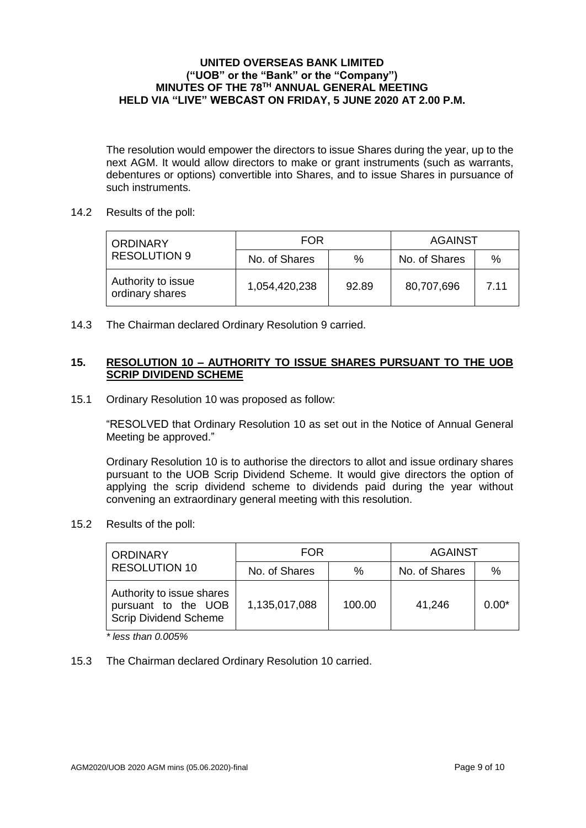The resolution would empower the directors to issue Shares during the year, up to the next AGM. It would allow directors to make or grant instruments (such as warrants, debentures or options) convertible into Shares, and to issue Shares in pursuance of such instruments.

14.2 Results of the poll:

| <b>ORDINARY</b>                       | FOR           |       | AGAINST       |      |
|---------------------------------------|---------------|-------|---------------|------|
| <b>RESOLUTION 9</b>                   | No. of Shares | $\%$  | No. of Shares | $\%$ |
| Authority to issue<br>ordinary shares | 1,054,420,238 | 92.89 | 80,707,696    | 7.11 |

14.3 The Chairman declared Ordinary Resolution 9 carried.

## **15. RESOLUTION 10 – AUTHORITY TO ISSUE SHARES PURSUANT TO THE UOB SCRIP DIVIDEND SCHEME**

15.1 Ordinary Resolution 10 was proposed as follow:

"RESOLVED that Ordinary Resolution 10 as set out in the Notice of Annual General Meeting be approved."

Ordinary Resolution 10 is to authorise the directors to allot and issue ordinary shares pursuant to the UOB Scrip Dividend Scheme. It would give directors the option of applying the scrip dividend scheme to dividends paid during the year without convening an extraordinary general meeting with this resolution.

15.2 Results of the poll:

| <b>ORDINARY</b>                                                                  | <b>FOR</b>    |        | <b>AGAINST</b> |         |
|----------------------------------------------------------------------------------|---------------|--------|----------------|---------|
| <b>RESOLUTION 10</b>                                                             | No. of Shares | %      | No. of Shares  | $\%$    |
| Authority to issue shares<br>pursuant to the UOB<br><b>Scrip Dividend Scheme</b> | 1,135,017,088 | 100.00 | 41,246         | $0.00*$ |

*\* less than 0.005%*

15.3 The Chairman declared Ordinary Resolution 10 carried.